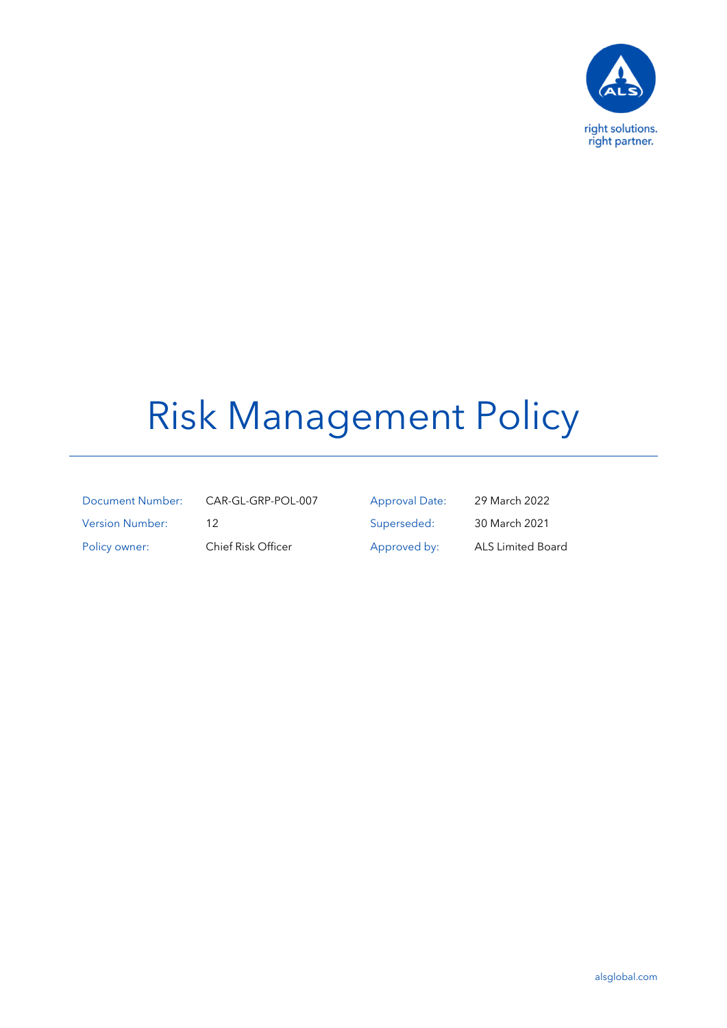

# Risk Management Policy

| <b>Document Number:</b> |
|-------------------------|
| <b>Version Number:</b>  |
| Policy owner:           |

CAR-GL-GRP-POL-007 Approval Date: 29 March 2022 12 Superseded: 30 March 2021 Chief Risk Officer Approved by: ALS Limited Board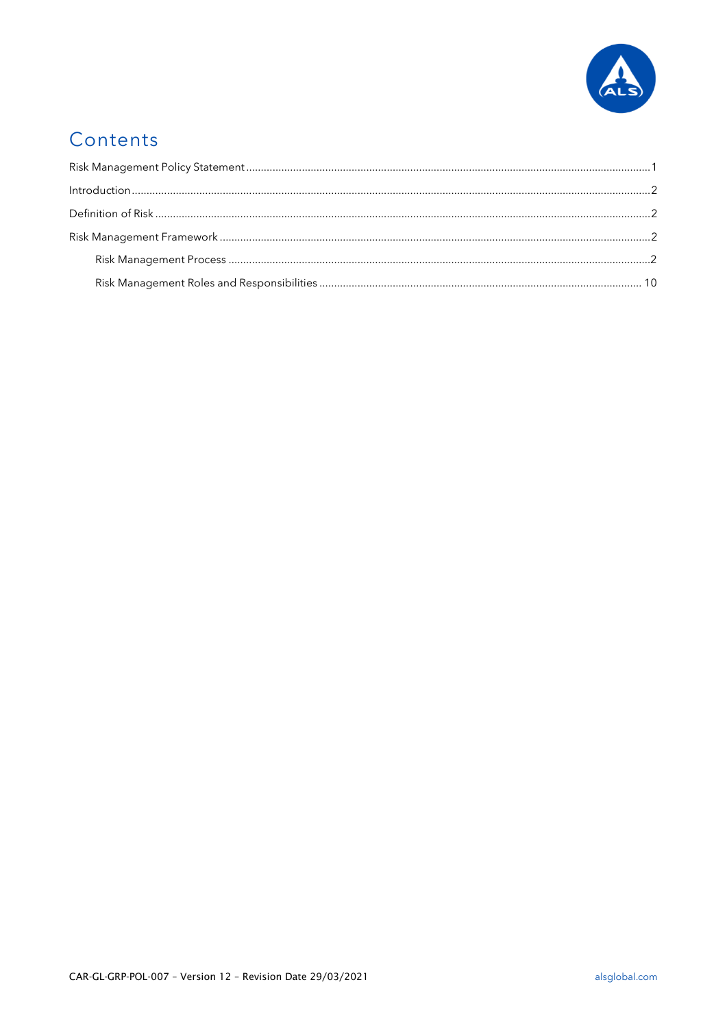

# Contents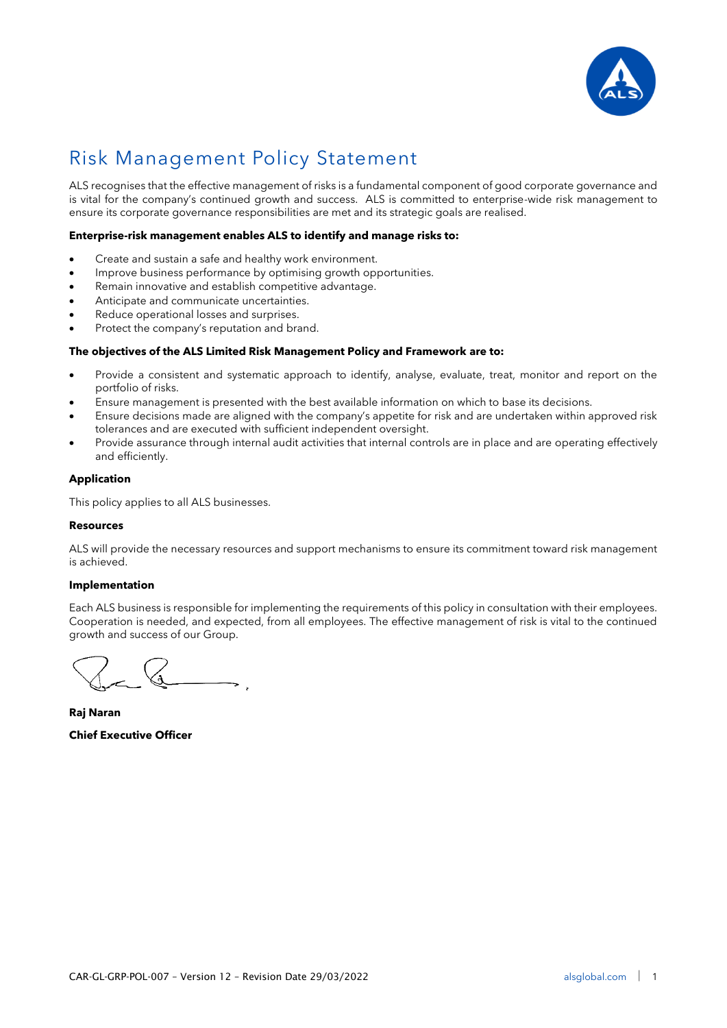

# <span id="page-2-0"></span>Risk Management Policy Statement

ALS recognises that the effective management of risks is a fundamental component of good corporate governance and is vital for the company's continued growth and success. ALS is committed to enterprise-wide risk management to ensure its corporate governance responsibilities are met and its strategic goals are realised.

# **Enterprise-risk management enables ALS to identify and manage risks to:**

- Create and sustain a safe and healthy work environment.
- Improve business performance by optimising growth opportunities.
- Remain innovative and establish competitive advantage.
- Anticipate and communicate uncertainties.
- Reduce operational losses and surprises.
- Protect the company's reputation and brand.

# **The objectives of the ALS Limited Risk Management Policy and Framework are to:**

- Provide a consistent and systematic approach to identify, analyse, evaluate, treat, monitor and report on the portfolio of risks.
- Ensure management is presented with the best available information on which to base its decisions.
- Ensure decisions made are aligned with the company's appetite for risk and are undertaken within approved risk tolerances and are executed with sufficient independent oversight.
- Provide assurance through internal audit activities that internal controls are in place and are operating effectively and efficiently.

### **Application**

This policy applies to all ALS businesses.

#### **Resources**

ALS will provide the necessary resources and support mechanisms to ensure its commitment toward risk management is achieved.

#### **Implementation**

Each ALS business is responsible for implementing the requirements of this policy in consultation with their employees. Cooperation is needed, and expected, from all employees. The effective management of risk is vital to the continued growth and success of our Group.

**Raj Naran Chief Executive Officer**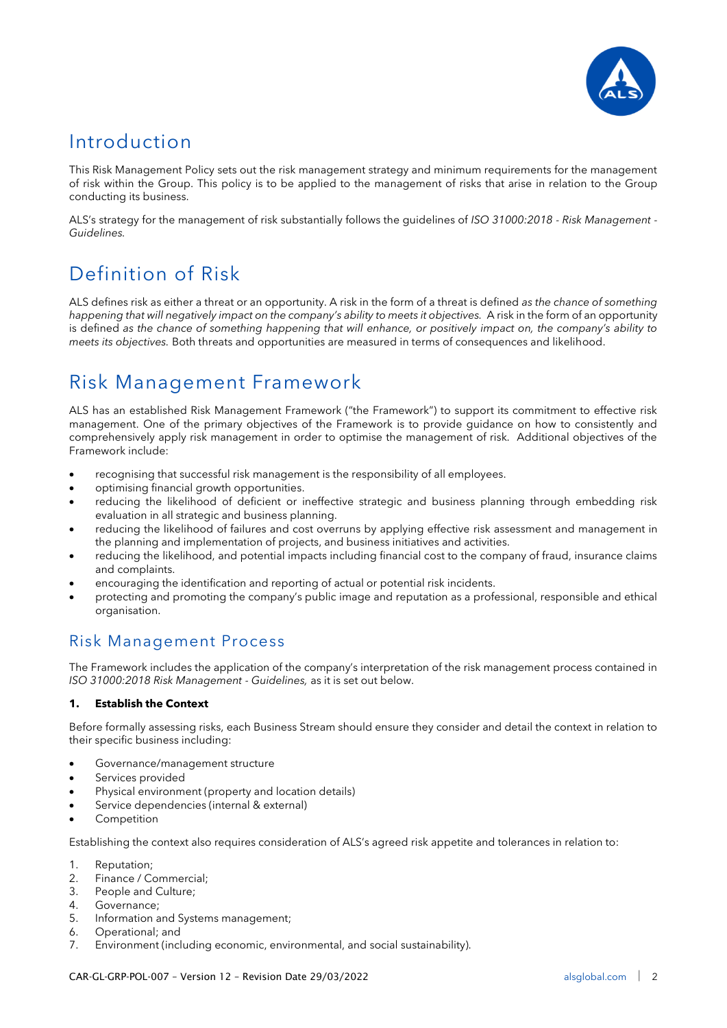

# <span id="page-3-0"></span>Introduction

This Risk Management Policy sets out the risk management strategy and minimum requirements for the management of risk within the Group. This policy is to be applied to the management of risks that arise in relation to the Group conducting its business.

ALS's strategy for the management of risk substantially follows the guidelines of *ISO 31000:2018 - Risk Management - Guidelines.*

# <span id="page-3-1"></span>Definition of Risk

ALS defines risk as either a threat or an opportunity. A risk in the form of a threat is defined *as the chance of something happening that will negatively impact on the company's ability to meets it objectives.* A risk in the form of an opportunity is defined *as the chance of something happening that will enhance, or positively impact on, the company's ability to meets its objectives.* Both threats and opportunities are measured in terms of consequences and likelihood.

# <span id="page-3-2"></span>Risk Management Framework

ALS has an established Risk Management Framework ("the Framework") to support its commitment to effective risk management. One of the primary objectives of the Framework is to provide guidance on how to consistently and comprehensively apply risk management in order to optimise the management of risk. Additional objectives of the Framework include:

- recognising that successful risk management is the responsibility of all employees.
- optimising financial growth opportunities.
- reducing the likelihood of deficient or ineffective strategic and business planning through embedding risk evaluation in all strategic and business planning.
- reducing the likelihood of failures and cost overruns by applying effective risk assessment and management in the planning and implementation of projects, and business initiatives and activities.
- reducing the likelihood, and potential impacts including financial cost to the company of fraud, insurance claims and complaints.
- encouraging the identification and reporting of actual or potential risk incidents.
- protecting and promoting the company's public image and reputation as a professional, responsible and ethical organisation.

# <span id="page-3-3"></span>Risk Management Process

The Framework includes the application of the company's interpretation of the risk management process contained in *ISO 31000:2018 Risk Management - Guidelines,* as it is set out below.

# **1. Establish the Context**

Before formally assessing risks, each Business Stream should ensure they consider and detail the context in relation to their specific business including:

- Governance/management structure
- Services provided
- Physical environment (property and location details)
- Service dependencies (internal & external)
- **Competition**

Establishing the context also requires consideration of ALS's agreed risk appetite and tolerances in relation to:

- 1. Reputation;
- 2. Finance / Commercial;
- 3. People and Culture;
- 4. Governance;
- 5. Information and Systems management;
- 6. Operational; and
- 7. Environment (including economic, environmental, and social sustainability).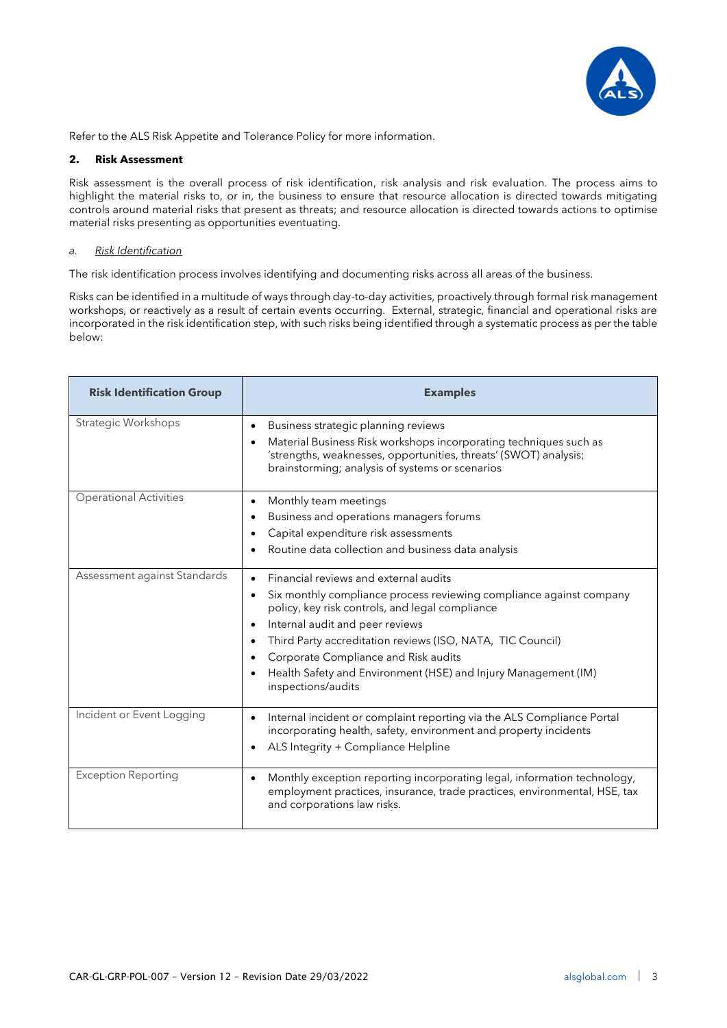

Refer to the ALS Risk Appetite and Tolerance Policy for more information.

# **2. Risk Assessment**

Risk assessment is the overall process of risk identification, risk analysis and risk evaluation. The process aims to highlight the material risks to, or in, the business to ensure that resource allocation is directed towards mitigating controls around material risks that present as threats; and resource allocation is directed towards actions to optimise material risks presenting as opportunities eventuating.

# *a. Risk Identification*

The risk identification process involves identifying and documenting risks across all areas of the business.

Risks can be identified in a multitude of ways through day-to-day activities, proactively through formal risk management workshops, or reactively as a result of certain events occurring. External, strategic, financial and operational risks are incorporated in the risk identification step, with such risks being identified through a systematic process as per the table below:

| <b>Risk Identification Group</b> | <b>Examples</b>                                                                                                                                                                                                                                                                                                                                                                                                                                           |
|----------------------------------|-----------------------------------------------------------------------------------------------------------------------------------------------------------------------------------------------------------------------------------------------------------------------------------------------------------------------------------------------------------------------------------------------------------------------------------------------------------|
| Strategic Workshops              | Business strategic planning reviews<br>$\bullet$<br>Material Business Risk workshops incorporating techniques such as<br>$\bullet$<br>'strengths, weaknesses, opportunities, threats' (SWOT) analysis;<br>brainstorming; analysis of systems or scenarios                                                                                                                                                                                                 |
| <b>Operational Activities</b>    | Monthly team meetings<br>$\bullet$<br>Business and operations managers forums<br>$\bullet$<br>Capital expenditure risk assessments<br>Routine data collection and business data analysis<br>٠                                                                                                                                                                                                                                                             |
| Assessment against Standards     | Financial reviews and external audits<br>$\bullet$<br>Six monthly compliance process reviewing compliance against company<br>$\bullet$<br>policy, key risk controls, and legal compliance<br>Internal audit and peer reviews<br>٠<br>Third Party accreditation reviews (ISO, NATA, TIC Council)<br>$\bullet$<br>Corporate Compliance and Risk audits<br>$\bullet$<br>Health Safety and Environment (HSE) and Injury Management (IM)<br>inspections/audits |
| Incident or Event Logging        | Internal incident or complaint reporting via the ALS Compliance Portal<br>$\bullet$<br>incorporating health, safety, environment and property incidents<br>ALS Integrity + Compliance Helpline<br>$\bullet$                                                                                                                                                                                                                                               |
| <b>Exception Reporting</b>       | Monthly exception reporting incorporating legal, information technology,<br>$\bullet$<br>employment practices, insurance, trade practices, environmental, HSE, tax<br>and corporations law risks.                                                                                                                                                                                                                                                         |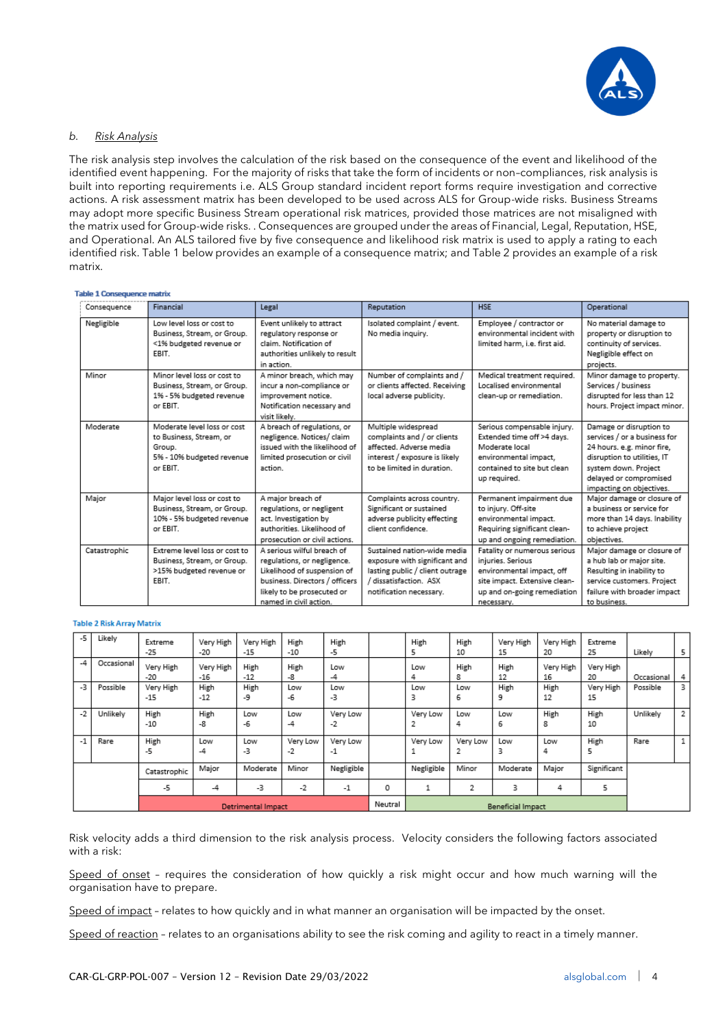

### *b. Risk Analysis*

The risk analysis step involves the calculation of the risk based on the consequence of the event and likelihood of the identified event happening. For the majority of risks that take the form of incidents or non–compliances, risk analysis is built into reporting requirements i.e. ALS Group standard incident report forms require investigation and corrective actions. A risk assessment matrix has been developed to be used across ALS for Group-wide risks. Business Streams may adopt more specific Business Stream operational risk matrices, provided those matrices are not misaligned with the matrix used for Group-wide risks. . Consequences are grouped under the areas of Financial, Legal, Reputation, HSE, and Operational. An ALS tailored five by five consequence and likelihood risk matrix is used to apply a rating to each identified risk. Table 1 below provides an example of a consequence matrix; and Table 2 provides an example of a risk matrix.

#### **Table 1 Consequence matrix**

| Consequence  | Financial                                                                                                 | Legal                                                                                                                                                                              | Reputation                                                                                                                                           | <b>HSE</b>                                                                                                                                                   | Operational                                                                                                                                                                                        |
|--------------|-----------------------------------------------------------------------------------------------------------|------------------------------------------------------------------------------------------------------------------------------------------------------------------------------------|------------------------------------------------------------------------------------------------------------------------------------------------------|--------------------------------------------------------------------------------------------------------------------------------------------------------------|----------------------------------------------------------------------------------------------------------------------------------------------------------------------------------------------------|
| Negligible   | Low level loss or cost to<br>Business, Stream, or Group.<br><1% budgeted revenue or<br>EBIT.              | Event unlikely to attract<br>regulatory response or<br>claim. Notification of<br>authorities unlikely to result<br>in action.                                                      | Isolated complaint / event.<br>No media inquiry.                                                                                                     | Employee / contractor or<br>environmental incident with<br>limited harm, i.e. first aid.                                                                     | No material damage to<br>property or disruption to<br>continuity of services.<br>Negligible effect on<br>projects.                                                                                 |
| Minor        | Minor level loss or cost to<br>Business, Stream, or Group.<br>1% - 5% budgeted revenue<br>or EBIT.        | A minor breach, which may<br>incur a non-compliance or<br>improvement notice.<br>Notification necessary and<br>visit likely.                                                       | Number of complaints and /<br>or clients affected. Receiving<br>local adverse publicity.                                                             | Medical treatment required.<br>Localised environmental<br>clean-up or remediation.                                                                           | Minor damage to property.<br>Services / business<br>disrupted for less than 12<br>hours. Project impact minor.                                                                                     |
| Moderate     | Moderate level loss or cost<br>to Business, Stream, or<br>Group.<br>5% - 10% budgeted revenue<br>or EBIT. | A breach of regulations, or<br>negligence. Notices/ claim<br>issued with the likelihood of<br>limited prosecution or civil<br>action.                                              | Multiple widespread<br>complaints and / or clients<br>affected. Adverse media<br>interest / exposure is likely<br>to be limited in duration.         | Serious compensable injury.<br>Extended time off >4 days.<br>Moderate local<br>environmental impact,<br>contained to site but clean<br>up required.          | Damage or disruption to<br>services / or a business for<br>24 hours, e.g. minor fire,<br>disruption to utilities, IT<br>system down. Project<br>delayed or compromised<br>impacting on objectives. |
| Major        | Major level loss or cost to<br>Business, Stream, or Group.<br>10% - 5% budgeted revenue<br>or EBIT.       | A maior breach of<br>regulations, or negligent<br>act. Investigation by<br>authorities. Likelihood of<br>prosecution or civil actions.                                             | Complaints across country.<br>Significant or sustained<br>adverse publicity effecting<br>client confidence.                                          | Permanent impairment due<br>to injury. Off-site<br>environmental impact.<br>Requiring significant clean-<br>up and ongoing remediation.                      | Major damage or closure of<br>a business or service for<br>more than 14 days. Inability<br>to achieve project<br>objectives.                                                                       |
| Catastrophic | Extreme level loss or cost to<br>Business, Stream, or Group.<br>>15% budgeted revenue or<br>EBIT.         | A serious wilful breach of<br>regulations, or negligence.<br>Likelihood of suspension of<br>business. Directors / officers<br>likely to be prosecuted or<br>named in civil action. | Sustained nation-wide media<br>exposure with significant and<br>lasting public / client outrage<br>/ dissatisfaction. ASX<br>notification necessary. | Fatality or numerous serious<br>iniuries, Serious<br>environmental impact, off<br>site impact. Extensive clean-<br>up and on-going remediation<br>necessary. | Major damage or closure of<br>a hub lab or major site.<br>Resulting in inability to<br>service customers. Project<br>failure with broader impact<br>to business.                                   |

#### **Table 2 Risk Array Matrix**

| $-5$               | Likely     | Extreme<br>$-25$   | Very High<br>$-20$ | Very High<br>$-15$ | High<br>$-10$    | High<br>-5                        |                          | High             | High<br>10    | Very High<br>15 | Very High<br>20 | Extreme<br>25   | Likely     | 5 |
|--------------------|------------|--------------------|--------------------|--------------------|------------------|-----------------------------------|--------------------------|------------------|---------------|-----------------|-----------------|-----------------|------------|---|
| $-4$               | Occasional | Very High<br>$-20$ | Very High<br>$-16$ | High<br>$-12$      | High<br>-8       | Low<br>-4                         |                          | Low<br>4         | High<br>8     | High<br>12      | Very High<br>16 | Very High<br>20 | Occasional | 4 |
| $-3$               | Possible   | Very High<br>$-15$ | High<br>$-12$      | High<br>-9         | Low<br>-6        | Low<br>-3                         |                          | Low<br>з         | Low<br>6      | High<br>9       | High<br>12      | Very High<br>15 | Possible   | з |
| $-2$               | Unlikely   | High<br>$-10$      | High<br>-8         | Low<br>-6          | Low<br>$-4$      | Very Low<br>-2                    |                          | Very Low         | Low<br>4      | Low<br>6        | High<br>8       | High<br>10      | Unlikely   | 2 |
| $-1$               | Rare       | High<br>-5         | Low<br>-4          | Low<br>-3          | Very Low<br>$-2$ | Very Low<br>$-1$                  |                          | Very Low         | Very Low<br>2 | Low<br>3        | Low<br>4        | High            | Rare       | 1 |
|                    |            | Catastrophic       | Major              | Moderate           | Minor            | Negligible<br>Negligible<br>Minor |                          |                  |               | Moderate        | Major           | Significant     |            |   |
|                    |            | -5                 | -4                 | $-3$               | $-2$             | $-1$                              | 0                        | 2<br>3<br>5<br>4 |               |                 |                 |                 |            |   |
| Detrimental Impact |            |                    |                    |                    |                  | Neutral                           | <b>Beneficial Impact</b> |                  |               |                 |                 |                 |            |   |

Risk velocity adds a third dimension to the risk analysis process. Velocity considers the following factors associated with a risk:

Speed of onset - requires the consideration of how quickly a risk might occur and how much warning will the organisation have to prepare.

Speed of impact - relates to how quickly and in what manner an organisation will be impacted by the onset.

Speed of reaction - relates to an organisations ability to see the risk coming and agility to react in a timely manner.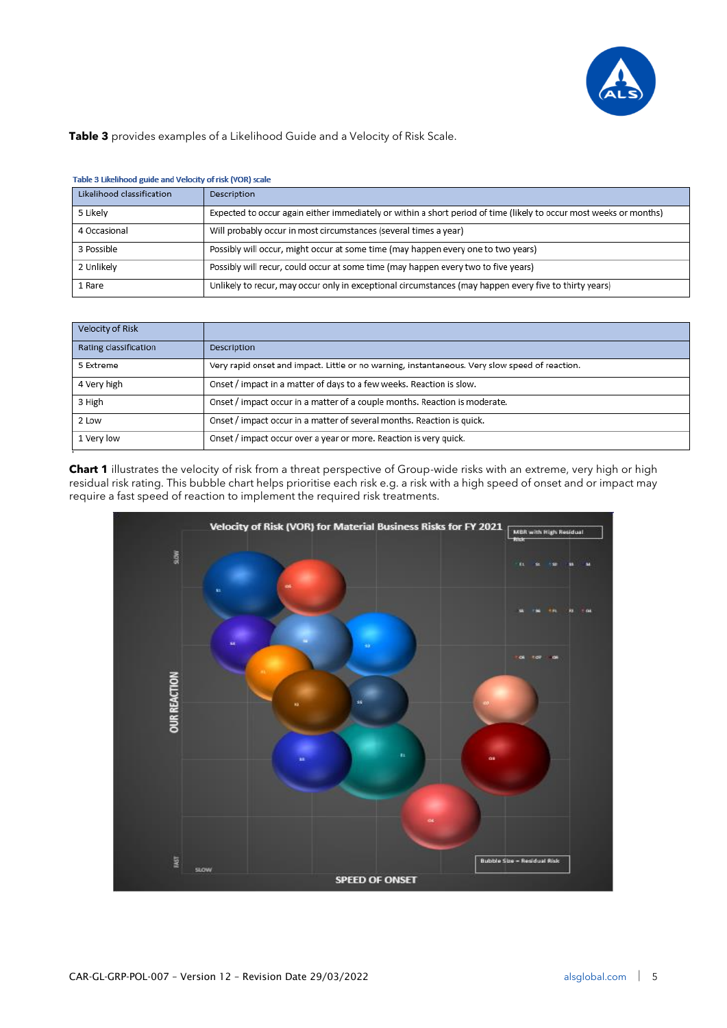

**Table 3** provides examples of a Likelihood Guide and a Velocity of Risk Scale.

| TODIC J LINCINIOUS CUISC GINE VEIOCITY OF HJN LYON) JEGIC |                                                                                                                    |  |  |  |  |  |  |  |
|-----------------------------------------------------------|--------------------------------------------------------------------------------------------------------------------|--|--|--|--|--|--|--|
| Likelihood classification                                 | Description                                                                                                        |  |  |  |  |  |  |  |
| 5 Likely                                                  | Expected to occur again either immediately or within a short period of time (likely to occur most weeks or months) |  |  |  |  |  |  |  |
| 4 Occasional                                              | Will probably occur in most circumstances (several times a year)                                                   |  |  |  |  |  |  |  |
| 3 Possible                                                | Possibly will occur, might occur at some time (may happen every one to two years)                                  |  |  |  |  |  |  |  |
| 2 Unlikely                                                | Possibly will recur, could occur at some time (may happen every two to five years)                                 |  |  |  |  |  |  |  |
| 1 Rare                                                    | Unlikely to recur, may occur only in exceptional circumstances (may happen every five to thirty years)             |  |  |  |  |  |  |  |

#### Table 3 Likelihood guide and Velocity of risk (VOR) scale

| Velocity of Risk      |                                                                                                |
|-----------------------|------------------------------------------------------------------------------------------------|
| Rating classification | Description                                                                                    |
| 5 Extreme             | Very rapid onset and impact. Little or no warning, instantaneous. Very slow speed of reaction. |
| 4 Very high           | Onset / impact in a matter of days to a few weeks. Reaction is slow.                           |
| 3 High                | Onset / impact occur in a matter of a couple months. Reaction is moderate.                     |
| 2 Low                 | Onset / impact occur in a matter of several months. Reaction is quick.                         |
| 1 Very low            | Onset / impact occur over a year or more. Reaction is very quick.                              |
|                       |                                                                                                |

**Chart 1** illustrates the velocity of risk from a threat perspective of Group-wide risks with an extreme, very high or high residual risk rating. This bubble chart helps prioritise each risk e.g. a risk with a high speed of onset and or impact may require a fast speed of reaction to implement the required risk treatments.

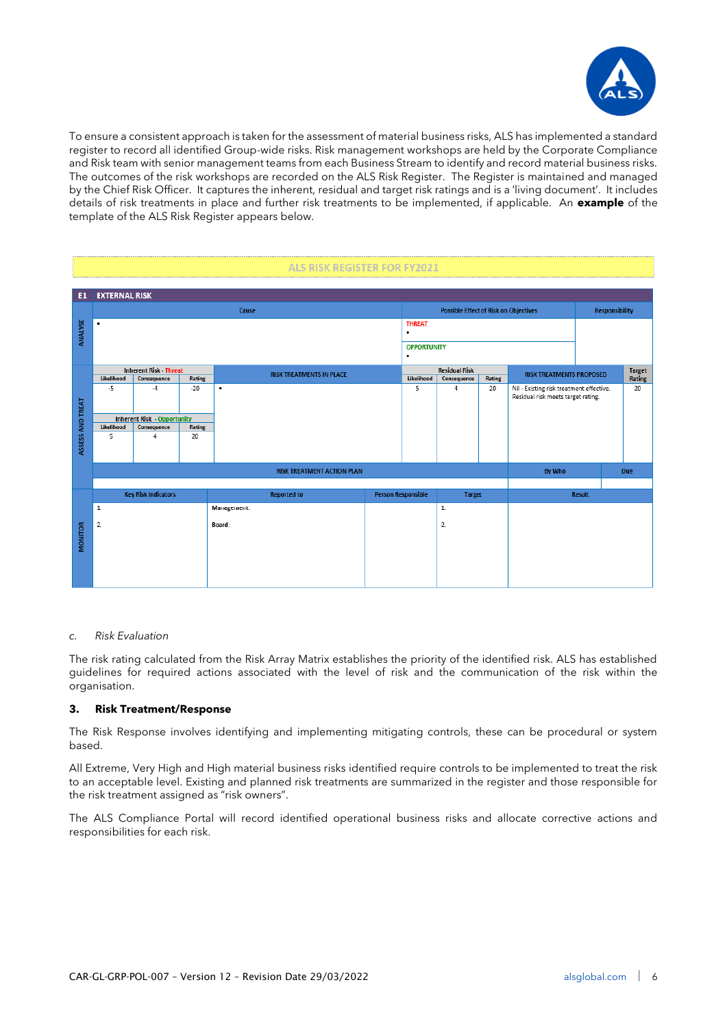

To ensure a consistent approach is taken for the assessment of material business risks, ALS has implemented a standard register to record all identified Group-wide risks. Risk management workshops are held by the Corporate Compliance and Risk team with senior management teams from each Business Stream to identify and record material business risks. The outcomes of the risk workshops are recorded on the ALS Risk Register. The Register is maintained and managed by the Chief Risk Officer. It captures the inherent, residual and target risk ratings and is a 'living document'. It includes details of risk treatments in place and further risk treatments to be implemented, if applicable. An **example** of the template of the ALS Risk Register appears below.

|                  | <b>ALS RISK REGISTER FOR FY2021</b> |                                    |        |             |                                   |  |                                                                       |                      |        |                                                                                |               |            |  |
|------------------|-------------------------------------|------------------------------------|--------|-------------|-----------------------------------|--|-----------------------------------------------------------------------|----------------------|--------|--------------------------------------------------------------------------------|---------------|------------|--|
| E1               | <b>EXTERNAL RISK</b>                |                                    |        |             |                                   |  |                                                                       |                      |        |                                                                                |               |            |  |
|                  |                                     |                                    |        | Cause       |                                   |  | <b>Possible Effect of Risk on Objectives</b><br><b>Responsibility</b> |                      |        |                                                                                |               |            |  |
|                  | ٠                                   |                                    |        |             |                                   |  | <b>THREAT</b>                                                         |                      |        |                                                                                |               |            |  |
| <b>ANALYSE</b>   |                                     |                                    |        |             |                                   |  | ٠<br><b>OPPORTUNITY</b>                                               |                      |        |                                                                                |               |            |  |
|                  |                                     |                                    |        |             |                                   |  | ٠                                                                     |                      |        |                                                                                |               |            |  |
|                  |                                     | <b>Inherent Risk - Threat</b>      |        |             | <b>RISK TREATMENTS IN PLACE</b>   |  |                                                                       | <b>Residual Risk</b> |        | <b>RISK TREATMENTS PROPOSED</b>                                                |               | Target     |  |
|                  | Likelihood                          | Consequence                        | Rating |             |                                   |  | Likelihood                                                            | Consequence          | Rating |                                                                                |               | Rating     |  |
|                  | -5                                  | $-4$                               | $-20$  | ٠           |                                   |  | 5                                                                     | 4                    | 20     | Nil - Existing risk treatment effective.<br>Residual risk meets target rating. |               | 20         |  |
| ASSESS AND TREAT |                                     |                                    |        |             |                                   |  |                                                                       |                      |        |                                                                                |               |            |  |
|                  |                                     | <b>Inherent Risk - Opportunity</b> |        |             |                                   |  |                                                                       |                      |        |                                                                                |               |            |  |
|                  | Likelihood                          | Consequence                        | Rating |             |                                   |  |                                                                       |                      |        |                                                                                |               |            |  |
|                  | 5                                   | 4                                  | 20     |             |                                   |  |                                                                       |                      |        |                                                                                |               |            |  |
|                  |                                     |                                    |        |             |                                   |  |                                                                       |                      |        |                                                                                |               |            |  |
|                  |                                     |                                    |        |             | <b>RISK TREATMENT ACTION PLAN</b> |  |                                                                       |                      |        | <b>By Who</b>                                                                  |               | <b>Due</b> |  |
|                  |                                     |                                    |        |             |                                   |  |                                                                       |                      |        |                                                                                |               |            |  |
|                  |                                     | <b>Key Risk Indicators</b>         |        |             | <b>Reported to</b>                |  | <b>Person Responsible</b>                                             | <b>Target</b>        |        |                                                                                | <b>Result</b> |            |  |
|                  | $\mathbf{1}$                        |                                    |        | Management: |                                   |  |                                                                       | 1.                   |        |                                                                                |               |            |  |
|                  | 2.                                  |                                    |        | Board:      |                                   |  |                                                                       | 2.                   |        |                                                                                |               |            |  |
| <b>MONITOR</b>   |                                     |                                    |        |             |                                   |  |                                                                       |                      |        |                                                                                |               |            |  |
|                  |                                     |                                    |        |             |                                   |  |                                                                       |                      |        |                                                                                |               |            |  |
|                  |                                     |                                    |        |             |                                   |  |                                                                       |                      |        |                                                                                |               |            |  |
|                  |                                     |                                    |        |             |                                   |  |                                                                       |                      |        |                                                                                |               |            |  |
|                  |                                     |                                    |        |             |                                   |  |                                                                       |                      |        |                                                                                |               |            |  |

#### *c. Risk Evaluation*

The risk rating calculated from the Risk Array Matrix establishes the priority of the identified risk. ALS has established guidelines for required actions associated with the level of risk and the communication of the risk within the organisation.

# **3. Risk Treatment/Response**

The Risk Response involves identifying and implementing mitigating controls, these can be procedural or system based.

All Extreme, Very High and High material business risks identified require controls to be implemented to treat the risk to an acceptable level. Existing and planned risk treatments are summarized in the register and those responsible for the risk treatment assigned as "risk owners".

The ALS Compliance Portal will record identified operational business risks and allocate corrective actions and responsibilities for each risk.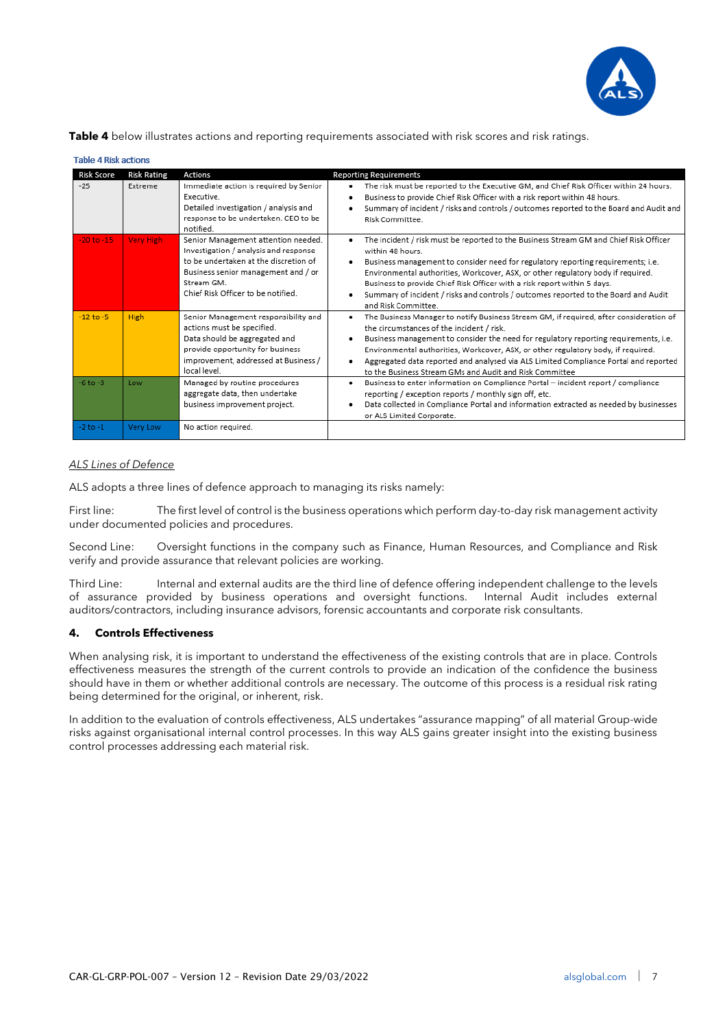

**Table 4** below illustrates actions and reporting requirements associated with risk scores and risk ratings.

| <b>Table 4 Risk actions</b> |                    |                                                                                                                                                                                                                  |                                                                                                                                                                                                                                                                                                                                                                                                                                                                                       |
|-----------------------------|--------------------|------------------------------------------------------------------------------------------------------------------------------------------------------------------------------------------------------------------|---------------------------------------------------------------------------------------------------------------------------------------------------------------------------------------------------------------------------------------------------------------------------------------------------------------------------------------------------------------------------------------------------------------------------------------------------------------------------------------|
| Risk Score                  | <b>Risk Rating</b> | <b>Actions</b>                                                                                                                                                                                                   | <b>Reporting Requirements</b>                                                                                                                                                                                                                                                                                                                                                                                                                                                         |
| $-25$                       | Extreme            | Immediate action is required by Senior<br>Executive.<br>Detailed investigation / analysis and<br>response to be undertaken. CEO to be<br>notified.                                                               | The risk must be reported to the Executive GM, and Chief Risk Officer within 24 hours.<br>٠<br>Business to provide Chief Risk Officer with a risk report within 48 hours.<br>Summary of incident / risks and controls / outcomes reported to the Board and Audit and<br>Risk Committee.                                                                                                                                                                                               |
| $-20$ to $-15$              | <b>Very High</b>   | Senior Management attention needed.<br>Investigation / analysis and response<br>to be undertaken at the discretion of<br>Business senior management and / or<br>Stream GM.<br>Chief Risk Officer to be notified. | The incident / risk must be reported to the Business Stream GM and Chief Risk Officer<br>٠<br>within 48 hours.<br>Business management to consider need for regulatory reporting requirements; i.e.<br>٠<br>Environmental authorities, Workcover, ASX, or other regulatory body if required.<br>Business to provide Chief Risk Officer with a risk report within 5 days.<br>Summary of incident / risks and controls / outcomes reported to the Board and Audit<br>and Risk Committee. |
| $-12$ to $-5$               | <b>High</b>        | Senior Management responsibility and<br>actions must be specified.<br>Data should be aggregated and<br>provide opportunity for business<br>improvement, addressed at Business /<br>local level.                  | The Business Manager to notify Business Stream GM, if required, after consideration of<br>٠<br>the circumstances of the incident / risk.<br>Business management to consider the need for regulatory reporting requirements, i.e.<br>٠<br>Environmental authorities, Workcover, ASX, or other regulatory body, if required.<br>Aggregated data reported and analysed via ALS Limited Compliance Portal and reported<br>٠<br>to the Business Stream GMs and Audit and Risk Committee    |
| $-6$ to $-3$                | Low                | Managed by routine procedures<br>aggregate data, then undertake<br>business improvement project.                                                                                                                 | Business to enter information on Compliance Portal - incident report / compliance<br>٠<br>reporting / exception reports / monthly sign off, etc.<br>Data collected in Compliance Portal and information extracted as needed by businesses<br>or ALS Limited Corporate.                                                                                                                                                                                                                |
| $-2$ to $-1$                | Very Low           | No action required.                                                                                                                                                                                              |                                                                                                                                                                                                                                                                                                                                                                                                                                                                                       |

### *ALS Lines of Defence*

ALS adopts a three lines of defence approach to managing its risks namely:

First line: The first level of control is the business operations which perform day-to-day risk management activity under documented policies and procedures.

Second Line: Oversight functions in the company such as Finance, Human Resources, and Compliance and Risk verify and provide assurance that relevant policies are working.

Third Line: Internal and external audits are the third line of defence offering independent challenge to the levels of assurance provided by business operations and oversight functions. Internal Audit includes external auditors/contractors, including insurance advisors, forensic accountants and corporate risk consultants.

### **4. Controls Effectiveness**

When analysing risk, it is important to understand the effectiveness of the existing controls that are in place. Controls effectiveness measures the strength of the current controls to provide an indication of the confidence the business should have in them or whether additional controls are necessary. The outcome of this process is a residual risk rating being determined for the original, or inherent, risk.

In addition to the evaluation of controls effectiveness, ALS undertakes "assurance mapping" of all material Group-wide risks against organisational internal control processes. In this way ALS gains greater insight into the existing business control processes addressing each material risk.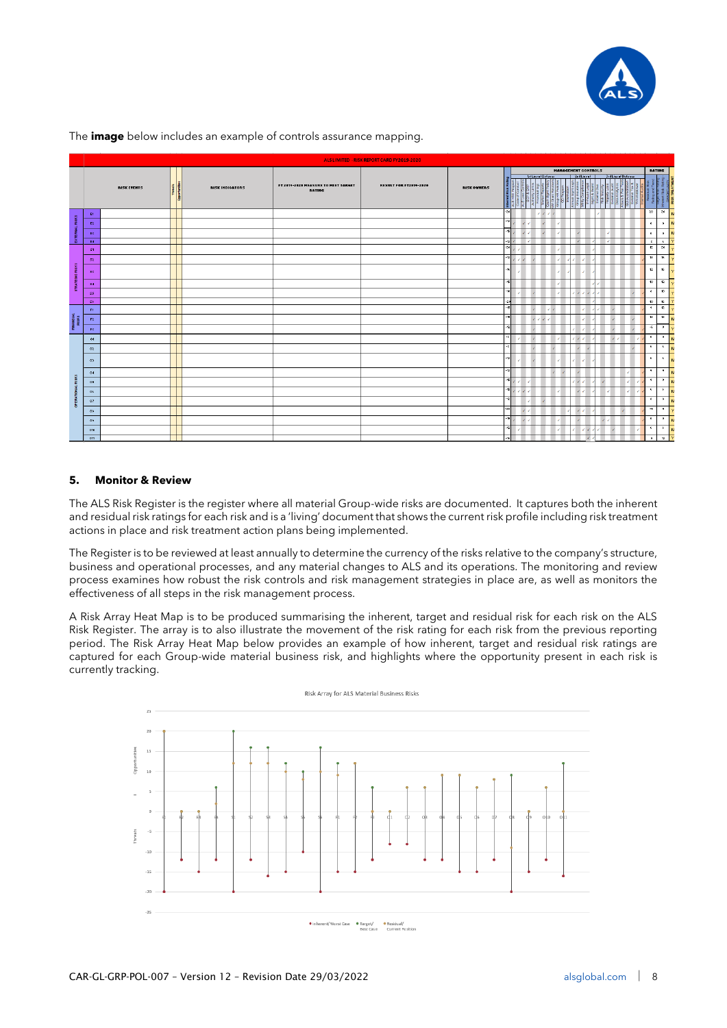

|                           | ALS LIMITED - RISK REPORT CARD FY2019-2020 |                    |  |                        |                                                      |                               |                            |              |                           |                |                     |                      |                                        |    |
|---------------------------|--------------------------------------------|--------------------|--|------------------------|------------------------------------------------------|-------------------------------|----------------------------|--------------|---------------------------|----------------|---------------------|----------------------|----------------------------------------|----|
|                           |                                            |                    |  |                        |                                                      |                               | <b>MANAGEMENT CONTROLS</b> |              |                           | RATING         |                     |                      |                                        |    |
|                           |                                            | <b>RISK EVENTS</b> |  | <b>RISK INDICATORS</b> | FT 2019-2020 MEASURE TO MEET TARGET<br><b>RATING</b> | <b>RESULT FOR FT2019-2020</b> | <b>RISK OWNERS</b>         |              | <b>Setting of Defence</b> | 2nd Line of    | 3rd Line of Defence |                      |                                        |    |
|                           | E1                                         |                    |  |                        |                                                      |                               |                            | $-20$        |                           |                |                     | $20 -$               | 20                                     |    |
| RIOKS                     | E2                                         |                    |  |                        |                                                      |                               |                            |              |                           |                |                     | $\ddot{\phantom{1}}$ | $\alpha$                               |    |
|                           | E3                                         |                    |  |                        |                                                      |                               |                            | $-15$        |                           |                |                     | $\ddot{\phantom{1}}$ | $\bullet$                              |    |
| 益                         | E4                                         |                    |  |                        |                                                      |                               |                            | -12<br>$-20$ |                           | $\mathcal{L}$  | - 7                 | $\overline{z}$       | $\sim$<br>$\mathbf{R}$<br>20           |    |
|                           | St.                                        |                    |  |                        |                                                      |                               |                            |              |                           |                |                     |                      | 12<br>$-16$                            |    |
|                           | S <sub>2</sub>                             |                    |  |                        |                                                      |                               |                            |              |                           |                |                     |                      |                                        |    |
| RISKS                     | \$3                                        |                    |  |                        |                                                      |                               |                            |              |                           |                |                     | 12                   | 16                                     |    |
|                           | \$4                                        |                    |  |                        |                                                      |                               |                            | $-15$        |                           |                |                     | 10                   | 12                                     |    |
|                           | ${\sf S5}$                                 |                    |  |                        |                                                      |                               |                            | $-10$        |                           |                |                     | $\bullet$            | 10                                     |    |
|                           | 56                                         |                    |  |                        |                                                      |                               |                            | -2d<br>-15   |                           |                |                     | $-9$                 | 10<br>16                               |    |
|                           | F1                                         |                    |  |                        |                                                      |                               |                            |              |                           |                |                     |                      | 12<br>$\mathbf{R}$<br>$-12$            |    |
| <b>FINANCIAL</b><br>RISKS | F2                                         |                    |  |                        |                                                      |                               |                            |              |                           |                |                     |                      |                                        |    |
|                           | F3                                         |                    |  |                        |                                                      |                               |                            |              |                           |                |                     | $\rightarrow$        | $\bullet$                              |    |
|                           | O1                                         |                    |  |                        |                                                      |                               |                            | -2           |                           |                |                     | $\bullet$            | $\bullet$                              |    |
|                           | 02                                         |                    |  |                        |                                                      |                               |                            |              |                           | $\mathcal{L}$  |                     | $6 -$                | $\sim$                                 |    |
|                           | 03                                         |                    |  |                        |                                                      |                               |                            |              |                           |                |                     | $\epsilon$           | $\ddot{\phantom{1}}$                   |    |
| $\overline{\mathbf{x}}$   | 04                                         |                    |  |                        |                                                      |                               |                            | $-12$        |                           | ×              |                     |                      | $\sim$<br>$\rightarrow$                |    |
| $\overline{a}$            | 05                                         |                    |  |                        |                                                      |                               |                            | $-15$        |                           |                |                     | $9 -$                | $\cdot$                                |    |
|                           | 06                                         |                    |  |                        |                                                      |                               |                            | $-15$        |                           | $\lambda$      |                     |                      | $\epsilon$<br>$\overline{\phantom{a}}$ |    |
| 8                         | 07                                         |                    |  |                        |                                                      |                               |                            | -12          |                           |                |                     |                      | $\bullet$<br>$\rightarrow$             |    |
|                           | $0*$                                       |                    |  |                        |                                                      |                               |                            | $-20$        |                           | $\overline{a}$ |                     |                      | -91<br>$\cdot$                         |    |
|                           | 04                                         |                    |  |                        |                                                      |                               |                            | $-15$        |                           |                |                     | $\bullet$            | $\bullet$                              |    |
|                           | 010                                        |                    |  |                        |                                                      |                               |                            | $-12$        |                           |                |                     | $\sqrt{2}$           | $\overline{\phantom{a}}$               |    |
|                           | 011                                        |                    |  |                        |                                                      |                               |                            | $-16$        |                           |                |                     | $\bullet$            |                                        | 12 |

The **image** below includes an example of controls assurance mapping.

# **5. Monitor & Review**

The ALS Risk Register is the register where all material Group-wide risks are documented. It captures both the inherent and residual risk ratings for each risk and is a 'living' document that shows the current risk profile including risk treatment actions in place and risk treatment action plans being implemented.

The Register is to be reviewed at least annually to determine the currency of the risks relative to the company's structure, business and operational processes, and any material changes to ALS and its operations. The monitoring and review process examines how robust the risk controls and risk management strategies in place are, as well as monitors the effectiveness of all steps in the risk management process.

A Risk Array Heat Map is to be produced summarising the inherent, target and residual risk for each risk on the ALS Risk Register. The array is to also illustrate the movement of the risk rating for each risk from the previous reporting period. The Risk Array Heat Map below provides an example of how inherent, target and residual risk ratings are captured for each Group-wide material business risk, and highlights where the opportunity present in each risk is currently tracking.

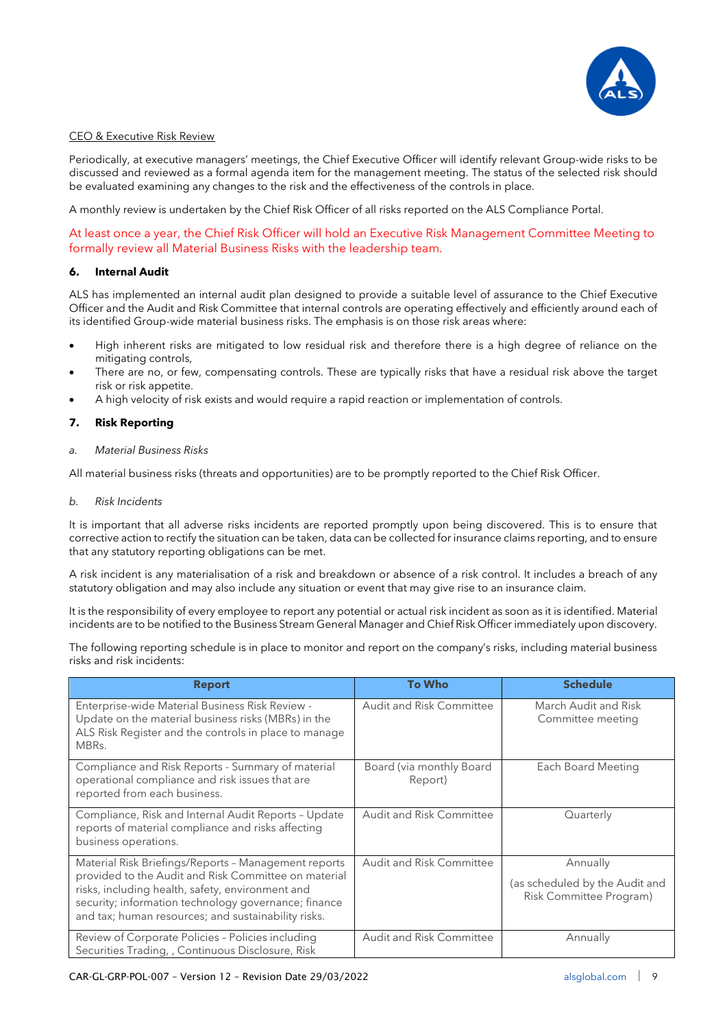

# CEO & Executive Risk Review

Periodically, at executive managers' meetings, the Chief Executive Officer will identify relevant Group-wide risks to be discussed and reviewed as a formal agenda item for the management meeting. The status of the selected risk should be evaluated examining any changes to the risk and the effectiveness of the controls in place.

A monthly review is undertaken by the Chief Risk Officer of all risks reported on the ALS Compliance Portal.

At least once a year, the Chief Risk Officer will hold an Executive Risk Management Committee Meeting to formally review all Material Business Risks with the leadership team.

### **6. Internal Audit**

ALS has implemented an internal audit plan designed to provide a suitable level of assurance to the Chief Executive Officer and the Audit and Risk Committee that internal controls are operating effectively and efficiently around each of its identified Group-wide material business risks. The emphasis is on those risk areas where:

- High inherent risks are mitigated to low residual risk and therefore there is a high degree of reliance on the mitigating controls,
- There are no, or few, compensating controls. These are typically risks that have a residual risk above the target risk or risk appetite.
- A high velocity of risk exists and would require a rapid reaction or implementation of controls.

# **7. Risk Reporting**

### *a. Material Business Risks*

All material business risks (threats and opportunities) are to be promptly reported to the Chief Risk Officer.

### *b. Risk Incidents*

It is important that all adverse risks incidents are reported promptly upon being discovered. This is to ensure that corrective action to rectify the situation can be taken, data can be collected for insurance claims reporting, and to ensure that any statutory reporting obligations can be met.

A risk incident is any materialisation of a risk and breakdown or absence of a risk control. It includes a breach of any statutory obligation and may also include any situation or event that may give rise to an insurance claim.

It is the responsibility of every employee to report any potential or actual risk incident as soon as it is identified. Material incidents are to be notified to the Business Stream General Manager and Chief Risk Officer immediately upon discovery.

The following reporting schedule is in place to monitor and report on the company's risks, including material business risks and risk incidents:

| <b>Report</b>                                                                                                                                                                                                           | <b>To Who</b>                       | <b>Schedule</b>                                           |
|-------------------------------------------------------------------------------------------------------------------------------------------------------------------------------------------------------------------------|-------------------------------------|-----------------------------------------------------------|
| Enterprise-wide Material Business Risk Review -<br>Update on the material business risks (MBRs) in the<br>ALS Risk Register and the controls in place to manage<br>MBRs.                                                | Audit and Risk Committee            | March Audit and Risk<br>Committee meeting                 |
| Compliance and Risk Reports - Summary of material<br>operational compliance and risk issues that are<br>reported from each business.                                                                                    | Board (via monthly Board<br>Report) | Each Board Meeting                                        |
| Compliance, Risk and Internal Audit Reports - Update<br>reports of material compliance and risks affecting<br>business operations.                                                                                      | <b>Audit and Risk Committee</b>     | Quarterly                                                 |
| Material Risk Briefings/Reports - Management reports                                                                                                                                                                    | <b>Audit and Risk Committee</b>     | Annually                                                  |
| provided to the Audit and Risk Committee on material<br>risks, including health, safety, environment and<br>security; information technology governance; finance<br>and tax; human resources; and sustainability risks. |                                     | (as scheduled by the Audit and<br>Risk Committee Program) |
| Review of Corporate Policies - Policies including<br>Securities Trading, , Continuous Disclosure, Risk                                                                                                                  | <b>Audit and Risk Committee</b>     | Annually                                                  |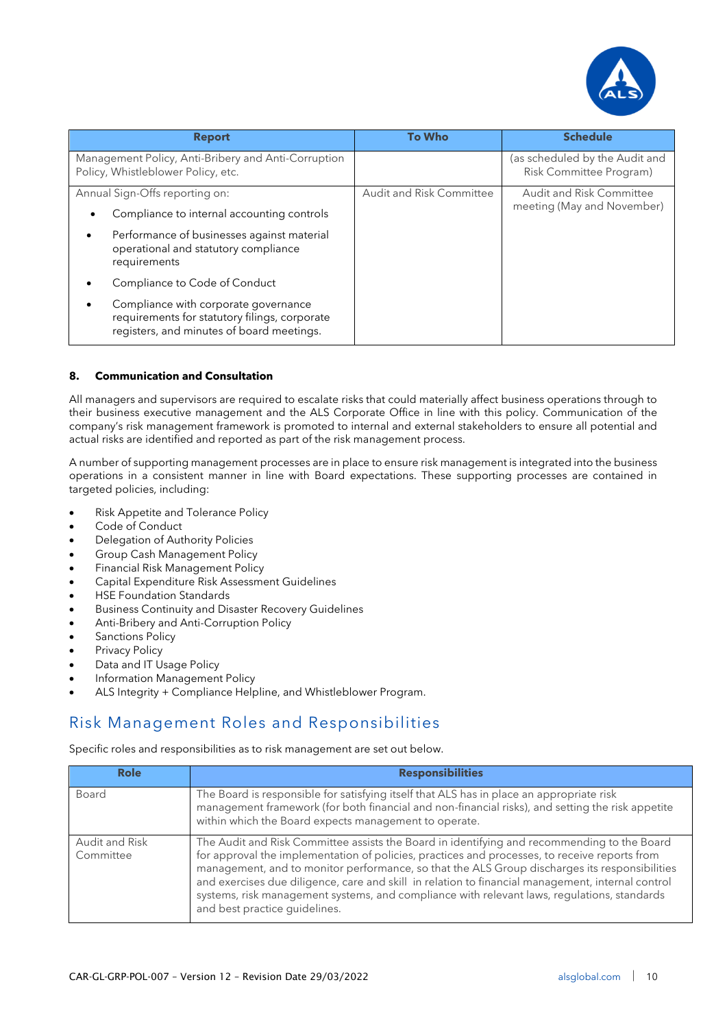

| <b>Report</b>                                                                                                                      | <b>To Who</b>                   | <b>Schedule</b>                                                  |
|------------------------------------------------------------------------------------------------------------------------------------|---------------------------------|------------------------------------------------------------------|
| Management Policy, Anti-Bribery and Anti-Corruption<br>Policy, Whistleblower Policy, etc.                                          |                                 | (as scheduled by the Audit and<br><b>Risk Committee Program)</b> |
| Annual Sign-Offs reporting on:<br>Compliance to internal accounting controls                                                       | <b>Audit and Risk Committee</b> | <b>Audit and Risk Committee</b><br>meeting (May and November)    |
| Performance of businesses against material<br>$\bullet$<br>operational and statutory compliance<br>requirements                    |                                 |                                                                  |
| Compliance to Code of Conduct                                                                                                      |                                 |                                                                  |
| Compliance with corporate governance<br>requirements for statutory filings, corporate<br>registers, and minutes of board meetings. |                                 |                                                                  |

# **8. Communication and Consultation**

All managers and supervisors are required to escalate risks that could materially affect business operations through to their business executive management and the ALS Corporate Office in line with this policy. Communication of the company's risk management framework is promoted to internal and external stakeholders to ensure all potential and actual risks are identified and reported as part of the risk management process.

A number of supporting management processes are in place to ensure risk management is integrated into the business operations in a consistent manner in line with Board expectations. These supporting processes are contained in targeted policies, including:

- Risk Appetite and Tolerance Policy
- Code of Conduct
- Delegation of Authority Policies
- Group Cash Management Policy
- Financial Risk Management Policy
- Capital Expenditure Risk Assessment Guidelines
- HSE Foundation Standards
- Business Continuity and Disaster Recovery Guidelines
- Anti-Bribery and Anti-Corruption Policy
- Sanctions Policy
- Privacy Policy
- Data and IT Usage Policy
- Information Management Policy
- ALS Integrity + Compliance Helpline, and Whistleblower Program.

# <span id="page-11-0"></span>Risk Management Roles and Responsibilities

Specific roles and responsibilities as to risk management are set out below.

| <b>Role</b>                 | <b>Responsibilities</b>                                                                                                                                                                                                                                                                                                                                                                                                                                                                                                            |
|-----------------------------|------------------------------------------------------------------------------------------------------------------------------------------------------------------------------------------------------------------------------------------------------------------------------------------------------------------------------------------------------------------------------------------------------------------------------------------------------------------------------------------------------------------------------------|
| Board                       | The Board is responsible for satisfying itself that ALS has in place an appropriate risk<br>management framework (for both financial and non-financial risks), and setting the risk appetite<br>within which the Board expects management to operate.                                                                                                                                                                                                                                                                              |
| Audit and Risk<br>Committee | The Audit and Risk Committee assists the Board in identifying and recommending to the Board<br>for approval the implementation of policies, practices and processes, to receive reports from<br>management, and to monitor performance, so that the ALS Group discharges its responsibilities<br>and exercises due diligence, care and skill in relation to financial management, internal control<br>systems, risk management systems, and compliance with relevant laws, regulations, standards<br>and best practice guidelines. |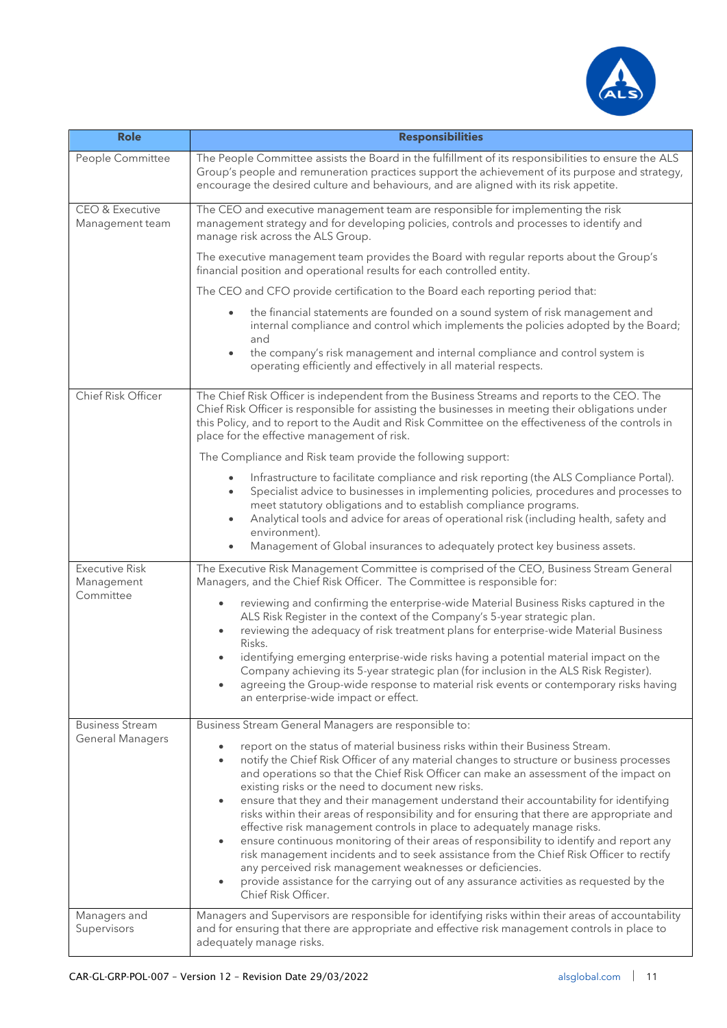

| <b>Role</b>                                       | <b>Responsibilities</b>                                                                                                                                                                                                                                                                                                                                                                                                                                                                                                                                                                                                                                                                                                                                                                                                                                                                                                                                                                                                                                        |
|---------------------------------------------------|----------------------------------------------------------------------------------------------------------------------------------------------------------------------------------------------------------------------------------------------------------------------------------------------------------------------------------------------------------------------------------------------------------------------------------------------------------------------------------------------------------------------------------------------------------------------------------------------------------------------------------------------------------------------------------------------------------------------------------------------------------------------------------------------------------------------------------------------------------------------------------------------------------------------------------------------------------------------------------------------------------------------------------------------------------------|
| People Committee                                  | The People Committee assists the Board in the fulfillment of its responsibilities to ensure the ALS<br>Group's people and remuneration practices support the achievement of its purpose and strategy,<br>encourage the desired culture and behaviours, and are aligned with its risk appetite.                                                                                                                                                                                                                                                                                                                                                                                                                                                                                                                                                                                                                                                                                                                                                                 |
| CEO & Executive<br>Management team                | The CEO and executive management team are responsible for implementing the risk<br>management strategy and for developing policies, controls and processes to identify and<br>manage risk across the ALS Group.                                                                                                                                                                                                                                                                                                                                                                                                                                                                                                                                                                                                                                                                                                                                                                                                                                                |
|                                                   | The executive management team provides the Board with regular reports about the Group's<br>financial position and operational results for each controlled entity.                                                                                                                                                                                                                                                                                                                                                                                                                                                                                                                                                                                                                                                                                                                                                                                                                                                                                              |
|                                                   | The CEO and CFO provide certification to the Board each reporting period that:                                                                                                                                                                                                                                                                                                                                                                                                                                                                                                                                                                                                                                                                                                                                                                                                                                                                                                                                                                                 |
|                                                   | the financial statements are founded on a sound system of risk management and<br>$\bullet$<br>internal compliance and control which implements the policies adopted by the Board;<br>and<br>the company's risk management and internal compliance and control system is<br>$\bullet$<br>operating efficiently and effectively in all material respects.                                                                                                                                                                                                                                                                                                                                                                                                                                                                                                                                                                                                                                                                                                        |
| Chief Risk Officer                                | The Chief Risk Officer is independent from the Business Streams and reports to the CEO. The<br>Chief Risk Officer is responsible for assisting the businesses in meeting their obligations under<br>this Policy, and to report to the Audit and Risk Committee on the effectiveness of the controls in<br>place for the effective management of risk.                                                                                                                                                                                                                                                                                                                                                                                                                                                                                                                                                                                                                                                                                                          |
|                                                   | The Compliance and Risk team provide the following support:                                                                                                                                                                                                                                                                                                                                                                                                                                                                                                                                                                                                                                                                                                                                                                                                                                                                                                                                                                                                    |
|                                                   | Infrastructure to facilitate compliance and risk reporting (the ALS Compliance Portal).<br>$\bullet$<br>Specialist advice to businesses in implementing policies, procedures and processes to<br>$\bullet$<br>meet statutory obligations and to establish compliance programs.<br>Analytical tools and advice for areas of operational risk (including health, safety and<br>$\bullet$<br>environment).<br>Management of Global insurances to adequately protect key business assets.<br>۰                                                                                                                                                                                                                                                                                                                                                                                                                                                                                                                                                                     |
| <b>Executive Risk</b><br>Management<br>Committee  | The Executive Risk Management Committee is comprised of the CEO, Business Stream General<br>Managers, and the Chief Risk Officer. The Committee is responsible for:                                                                                                                                                                                                                                                                                                                                                                                                                                                                                                                                                                                                                                                                                                                                                                                                                                                                                            |
|                                                   | reviewing and confirming the enterprise-wide Material Business Risks captured in the<br>ALS Risk Register in the context of the Company's 5-year strategic plan.<br>reviewing the adequacy of risk treatment plans for enterprise-wide Material Business<br>$\bullet$<br>Risks.<br>identifying emerging enterprise-wide risks having a potential material impact on the                                                                                                                                                                                                                                                                                                                                                                                                                                                                                                                                                                                                                                                                                        |
|                                                   | Company achieving its 5-year strategic plan (for inclusion in the ALS Risk Register).<br>agreeing the Group-wide response to material risk events or contemporary risks having<br>an enterprise-wide impact or effect.                                                                                                                                                                                                                                                                                                                                                                                                                                                                                                                                                                                                                                                                                                                                                                                                                                         |
| <b>Business Stream</b><br><b>General Managers</b> | Business Stream General Managers are responsible to:<br>report on the status of material business risks within their Business Stream.<br>notify the Chief Risk Officer of any material changes to structure or business processes<br>$\bullet$<br>and operations so that the Chief Risk Officer can make an assessment of the impact on<br>existing risks or the need to document new risks.<br>ensure that they and their management understand their accountability for identifying<br>$\bullet$<br>risks within their areas of responsibility and for ensuring that there are appropriate and<br>effective risk management controls in place to adequately manage risks.<br>ensure continuous monitoring of their areas of responsibility to identify and report any<br>$\bullet$<br>risk management incidents and to seek assistance from the Chief Risk Officer to rectify<br>any perceived risk management weaknesses or deficiencies.<br>provide assistance for the carrying out of any assurance activities as requested by the<br>Chief Risk Officer. |
| Managers and<br>Supervisors                       | Managers and Supervisors are responsible for identifying risks within their areas of accountability<br>and for ensuring that there are appropriate and effective risk management controls in place to<br>adequately manage risks.                                                                                                                                                                                                                                                                                                                                                                                                                                                                                                                                                                                                                                                                                                                                                                                                                              |